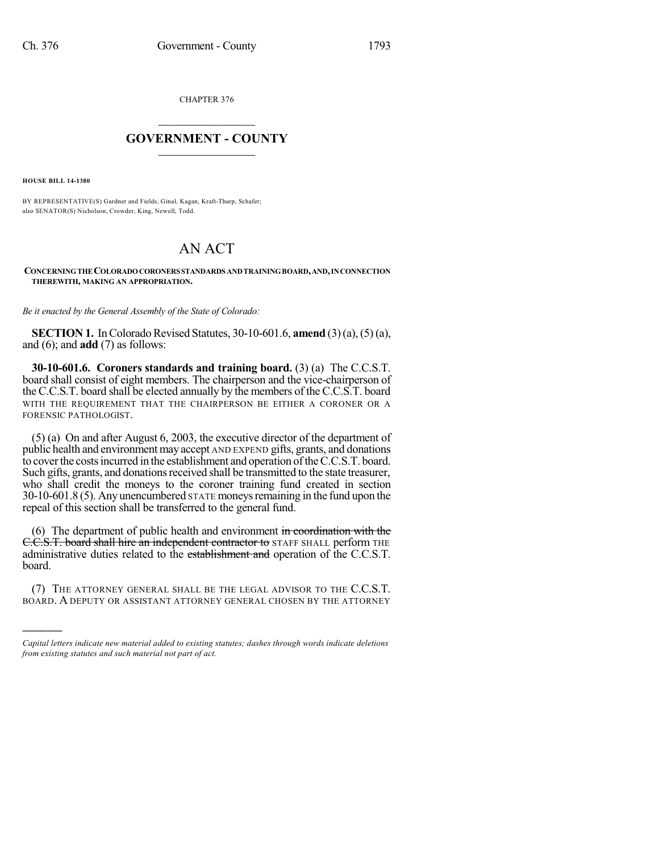CHAPTER 376

## $\overline{\phantom{a}}$  . The set of the set of the set of the set of the set of the set of the set of the set of the set of the set of the set of the set of the set of the set of the set of the set of the set of the set of the set o **GOVERNMENT - COUNTY**  $\_$

**HOUSE BILL 14-1380**

)))))

BY REPRESENTATIVE(S) Gardner and Fields, Ginal, Kagan, Kraft-Tharp, Schafer; also SENATOR(S) Nicholson, Crowder, King, Newell, Todd.

## AN ACT

## **CONCERNINGTHECOLORADOCORONERSSTANDARDS ANDTRAININGBOARD,AND,INCONNECTION THEREWITH, MAKING AN APPROPRIATION.**

*Be it enacted by the General Assembly of the State of Colorado:*

**SECTION 1.** In Colorado Revised Statutes, 30-10-601.6, **amend** (3)(a), (5)(a), and (6); and **add** (7) as follows:

**30-10-601.6. Coroners standards and training board.** (3) (a) The C.C.S.T. board shall consist of eight members. The chairperson and the vice-chairperson of the C.C.S.T. board shall be elected annually by the members of the C.C.S.T. board WITH THE REQUIREMENT THAT THE CHAIRPERSON BE EITHER A CORONER OR A FORENSIC PATHOLOGIST.

(5) (a) On and after August 6, 2003, the executive director of the department of public health and environment may accept AND EXPEND gifts, grants, and donations to cover the costs incurred in the establishment and operation of the C.C.S.T. board. Such gifts, grants, and donations received shall be transmitted to the state treasurer, who shall credit the moneys to the coroner training fund created in section  $30-10-601.8$  (5). Any unencumbered STATE moneys remaining in the fund upon the repeal of this section shall be transferred to the general fund.

(6) The department of public health and environment in coordination with the C.C.S.T. board shall hire an independent contractor to STAFF SHALL perform THE administrative duties related to the establishment and operation of the C.C.S.T. board.

(7) THE ATTORNEY GENERAL SHALL BE THE LEGAL ADVISOR TO THE C.C.S.T. BOARD. A DEPUTY OR ASSISTANT ATTORNEY GENERAL CHOSEN BY THE ATTORNEY

*Capital letters indicate new material added to existing statutes; dashes through words indicate deletions from existing statutes and such material not part of act.*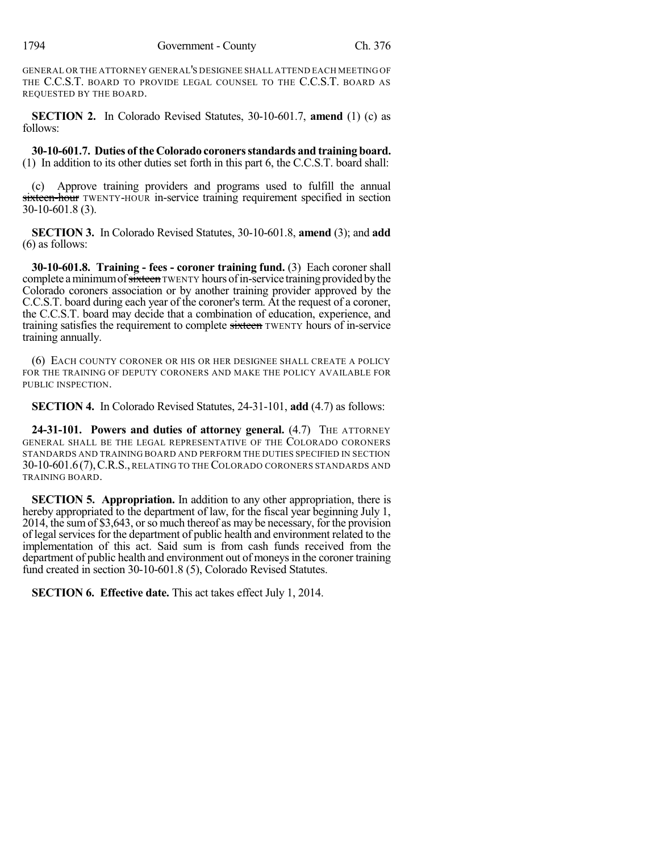GENERAL OR THE ATTORNEY GENERAL'S DESIGNEE SHALL ATTEND EACH MEETING OF THE C.C.S.T. BOARD TO PROVIDE LEGAL COUNSEL TO THE C.C.S.T. BOARD AS REQUESTED BY THE BOARD.

**SECTION 2.** In Colorado Revised Statutes, 30-10-601.7, **amend** (1) (c) as follows:

**30-10-601.7. Duties of the Colorado coronersstandards and training board.** (1) In addition to its other duties set forth in this part 6, the C.C.S.T. board shall:

(c) Approve training providers and programs used to fulfill the annual sixteen-hour TWENTY-HOUR in-service training requirement specified in section 30-10-601.8 (3).

**SECTION 3.** In Colorado Revised Statutes, 30-10-601.8, **amend** (3); and **add** (6) as follows:

**30-10-601.8. Training - fees - coroner training fund.** (3) Each coroner shall complete a minimum of sixteen TWENTY hours of in-service training provided by the Colorado coroners association or by another training provider approved by the C.C.S.T. board during each year of the coroner's term. At the request of a coroner, the C.C.S.T. board may decide that a combination of education, experience, and training satisfies the requirement to complete sixteen TWENTY hours of in-service training annually.

(6) EACH COUNTY CORONER OR HIS OR HER DESIGNEE SHALL CREATE A POLICY FOR THE TRAINING OF DEPUTY CORONERS AND MAKE THE POLICY AVAILABLE FOR PUBLIC INSPECTION.

**SECTION 4.** In Colorado Revised Statutes, 24-31-101, **add** (4.7) as follows:

**24-31-101. Powers and duties of attorney general.** (4.7) THE ATTORNEY GENERAL SHALL BE THE LEGAL REPRESENTATIVE OF THE COLORADO CORONERS STANDARDS AND TRAINING BOARD AND PERFORM THE DUTIES SPECIFIED IN SECTION 30-10-601.6(7),C.R.S., RELATING TO THE COLORADO CORONERS STANDARDS AND TRAINING BOARD.

**SECTION 5. Appropriation.** In addition to any other appropriation, there is hereby appropriated to the department of law, for the fiscal year beginning July 1, 2014, the sumof \$3,643, orso much thereof as may be necessary, for the provision of legal services for the department of public health and environment related to the implementation of this act. Said sum is from cash funds received from the department of public health and environment out of moneys in the coroner training fund created in section 30-10-601.8 (5), Colorado Revised Statutes.

**SECTION 6. Effective date.** This act takes effect July 1, 2014.